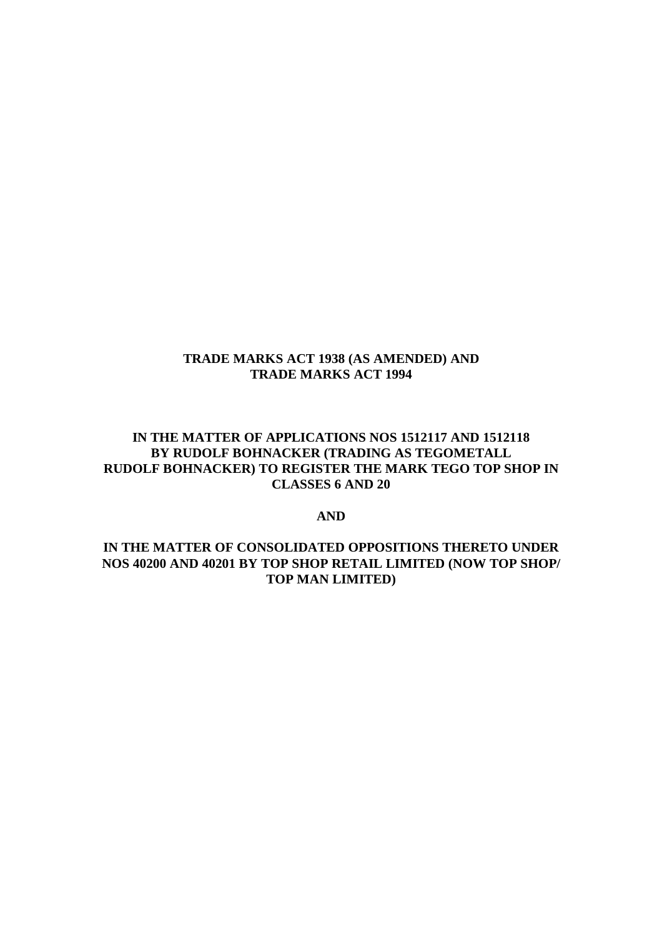## **TRADE MARKS ACT 1938 (AS AMENDED) AND TRADE MARKS ACT 1994**

# **IN THE MATTER OF APPLICATIONS NOS 1512117 AND 1512118 BY RUDOLF BOHNACKER (TRADING AS TEGOMETALL RUDOLF BOHNACKER) TO REGISTER THE MARK TEGO TOP SHOP IN CLASSES 6 AND 20**

#### **AND**

# **IN THE MATTER OF CONSOLIDATED OPPOSITIONS THERETO UNDER NOS 40200 AND 40201 BY TOP SHOP RETAIL LIMITED (NOW TOP SHOP/ TOP MAN LIMITED)**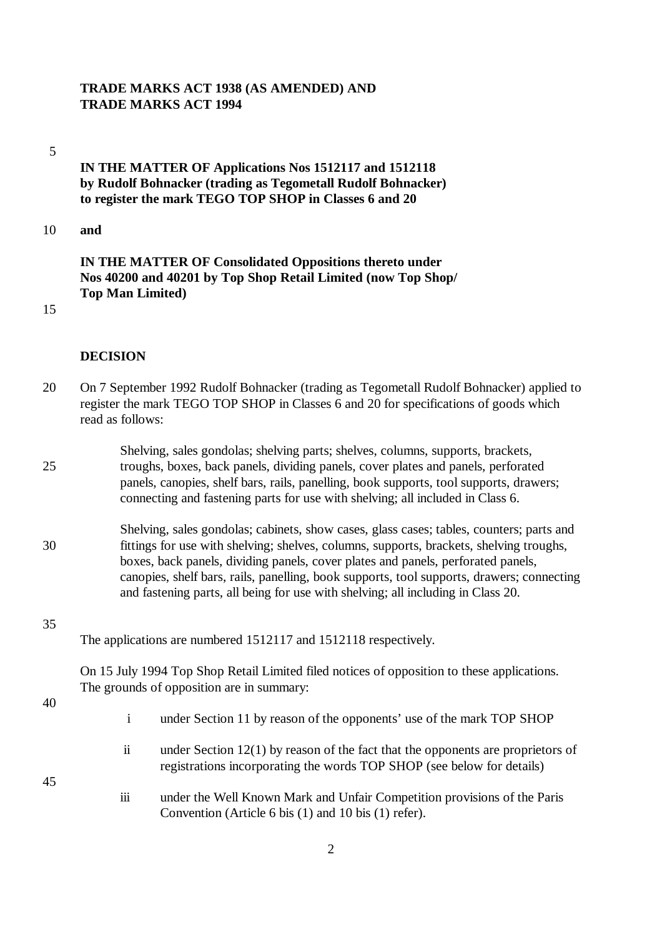### **TRADE MARKS ACT 1938 (AS AMENDED) AND TRADE MARKS ACT 1994**

#### 5

# **IN THE MATTER OF Applications Nos 1512117 and 1512118 by Rudolf Bohnacker (trading as Tegometall Rudolf Bohnacker) to register the mark TEGO TOP SHOP in Classes 6 and 20**

10 **and**

# **IN THE MATTER OF Consolidated Oppositions thereto under Nos 40200 and 40201 by Top Shop Retail Limited (now Top Shop/ Top Man Limited)**

15

## **DECISION**

- 20 On 7 September 1992 Rudolf Bohnacker (trading as Tegometall Rudolf Bohnacker) applied to register the mark TEGO TOP SHOP in Classes 6 and 20 for specifications of goods which read as follows:
- Shelving, sales gondolas; shelving parts; shelves, columns, supports, brackets, 25 troughs, boxes, back panels, dividing panels, cover plates and panels, perforated panels, canopies, shelf bars, rails, panelling, book supports, tool supports, drawers; connecting and fastening parts for use with shelving; all included in Class 6.
- Shelving, sales gondolas; cabinets, show cases, glass cases; tables, counters; parts and 30 fittings for use with shelving; shelves, columns, supports, brackets, shelving troughs, boxes, back panels, dividing panels, cover plates and panels, perforated panels, canopies, shelf bars, rails, panelling, book supports, tool supports, drawers; connecting and fastening parts, all being for use with shelving; all including in Class 20.
- 35

The applications are numbered 1512117 and 1512118 respectively.

On 15 July 1994 Top Shop Retail Limited filed notices of opposition to these applications. The grounds of opposition are in summary:

40

45

- i under Section 11 by reason of the opponents' use of the mark TOP SHOP
- ii under Section 12(1) by reason of the fact that the opponents are proprietors of registrations incorporating the words TOP SHOP (see below for details)
- iii under the Well Known Mark and Unfair Competition provisions of the Paris Convention (Article 6 bis (1) and 10 bis (1) refer).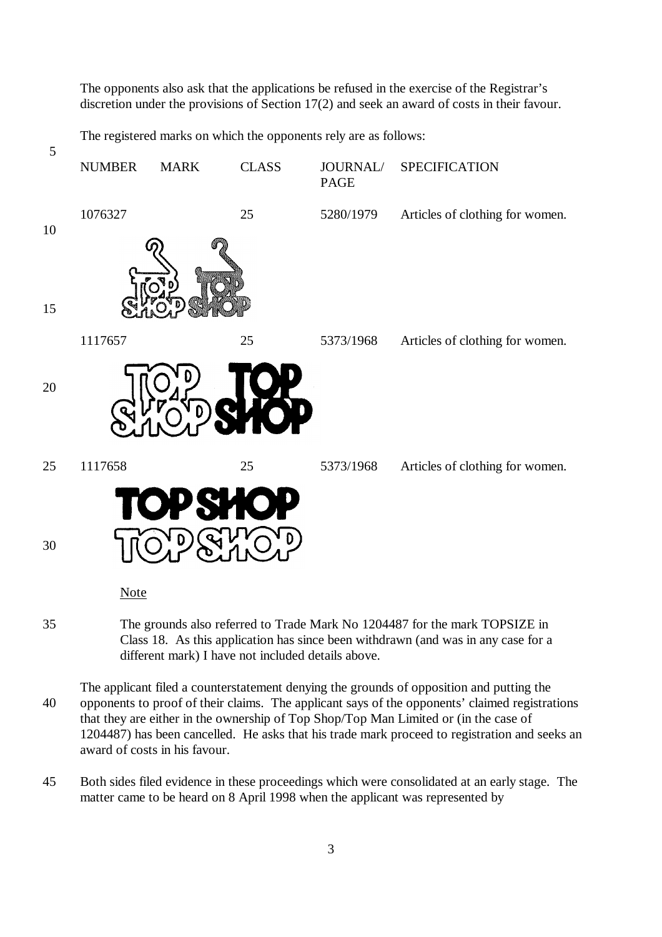The opponents also ask that the applications be refused in the exercise of the Registrar's discretion under the provisions of Section 17(2) and seek an award of costs in their favour.

The registered marks on which the opponents rely are as follows:



- Class 18. As this application has since been withdrawn (and was in any case for a different mark) I have not included details above.
- The applicant filed a counterstatement denying the grounds of opposition and putting the 40 opponents to proof of their claims. The applicant says of the opponents' claimed registrations that they are either in the ownership of Top Shop/Top Man Limited or (in the case of 1204487) has been cancelled. He asks that his trade mark proceed to registration and seeks an award of costs in his favour.
- 45 Both sides filed evidence in these proceedings which were consolidated at an early stage. The matter came to be heard on 8 April 1998 when the applicant was represented by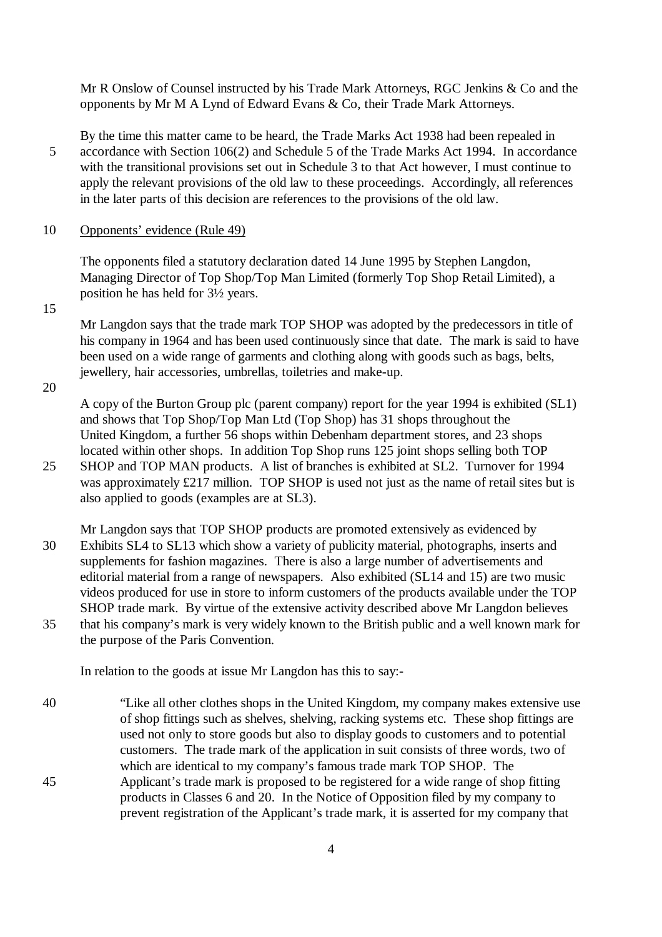Mr R Onslow of Counsel instructed by his Trade Mark Attorneys, RGC Jenkins & Co and the opponents by Mr M A Lynd of Edward Evans & Co, their Trade Mark Attorneys.

- By the time this matter came to be heard, the Trade Marks Act 1938 had been repealed in 5 accordance with Section 106(2) and Schedule 5 of the Trade Marks Act 1994. In accordance with the transitional provisions set out in Schedule 3 to that Act however, I must continue to apply the relevant provisions of the old law to these proceedings. Accordingly, all references in the later parts of this decision are references to the provisions of the old law.
- 10 Opponents' evidence (Rule 49)

The opponents filed a statutory declaration dated 14 June 1995 by Stephen Langdon, Managing Director of Top Shop/Top Man Limited (formerly Top Shop Retail Limited), a position he has held for 3½ years.

15

Mr Langdon says that the trade mark TOP SHOP was adopted by the predecessors in title of his company in 1964 and has been used continuously since that date. The mark is said to have been used on a wide range of garments and clothing along with goods such as bags, belts, jewellery, hair accessories, umbrellas, toiletries and make-up.

20

A copy of the Burton Group plc (parent company) report for the year 1994 is exhibited (SL1) and shows that Top Shop/Top Man Ltd (Top Shop) has 31 shops throughout the United Kingdom, a further 56 shops within Debenham department stores, and 23 shops located within other shops. In addition Top Shop runs 125 joint shops selling both TOP

25 SHOP and TOP MAN products. A list of branches is exhibited at SL2. Turnover for 1994 was approximately £217 million. TOP SHOP is used not just as the name of retail sites but is also applied to goods (examples are at SL3).

Mr Langdon says that TOP SHOP products are promoted extensively as evidenced by 30 Exhibits SL4 to SL13 which show a variety of publicity material, photographs, inserts and supplements for fashion magazines. There is also a large number of advertisements and editorial material from a range of newspapers. Also exhibited (SL14 and 15) are two music videos produced for use in store to inform customers of the products available under the TOP SHOP trade mark. By virtue of the extensive activity described above Mr Langdon believes 35 that his company's mark is very widely known to the British public and a well known mark for the purpose of the Paris Convention.

In relation to the goods at issue Mr Langdon has this to say:-

40 "Like all other clothes shops in the United Kingdom, my company makes extensive use of shop fittings such as shelves, shelving, racking systems etc. These shop fittings are used not only to store goods but also to display goods to customers and to potential customers. The trade mark of the application in suit consists of three words, two of which are identical to my company's famous trade mark TOP SHOP. The 45 Applicant's trade mark is proposed to be registered for a wide range of shop fitting products in Classes 6 and 20. In the Notice of Opposition filed by my company to prevent registration of the Applicant's trade mark, it is asserted for my company that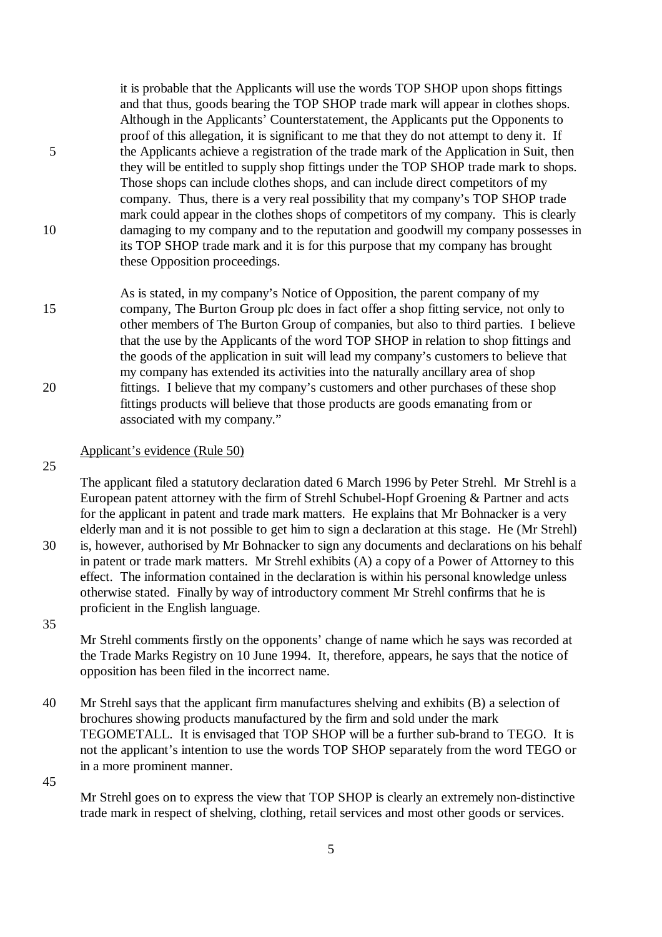it is probable that the Applicants will use the words TOP SHOP upon shops fittings and that thus, goods bearing the TOP SHOP trade mark will appear in clothes shops. Although in the Applicants' Counterstatement, the Applicants put the Opponents to proof of this allegation, it is significant to me that they do not attempt to deny it. If 5 the Applicants achieve a registration of the trade mark of the Application in Suit, then they will be entitled to supply shop fittings under the TOP SHOP trade mark to shops. Those shops can include clothes shops, and can include direct competitors of my company. Thus, there is a very real possibility that my company's TOP SHOP trade mark could appear in the clothes shops of competitors of my company. This is clearly 10 damaging to my company and to the reputation and goodwill my company possesses in its TOP SHOP trade mark and it is for this purpose that my company has brought these Opposition proceedings.

As is stated, in my company's Notice of Opposition, the parent company of my 15 company, The Burton Group plc does in fact offer a shop fitting service, not only to other members of The Burton Group of companies, but also to third parties. I believe that the use by the Applicants of the word TOP SHOP in relation to shop fittings and the goods of the application in suit will lead my company's customers to believe that my company has extended its activities into the naturally ancillary area of shop 20 fittings. I believe that my company's customers and other purchases of these shop fittings products will believe that those products are goods emanating from or associated with my company."

## Applicant's evidence (Rule 50)

proficient in the English language.

25

The applicant filed a statutory declaration dated 6 March 1996 by Peter Strehl. Mr Strehl is a European patent attorney with the firm of Strehl Schubel-Hopf Groening & Partner and acts for the applicant in patent and trade mark matters. He explains that Mr Bohnacker is a very elderly man and it is not possible to get him to sign a declaration at this stage. He (Mr Strehl) 30 is, however, authorised by Mr Bohnacker to sign any documents and declarations on his behalf in patent or trade mark matters. Mr Strehl exhibits (A) a copy of a Power of Attorney to this effect. The information contained in the declaration is within his personal knowledge unless

35

Mr Strehl comments firstly on the opponents' change of name which he says was recorded at the Trade Marks Registry on 10 June 1994. It, therefore, appears, he says that the notice of opposition has been filed in the incorrect name.

otherwise stated. Finally by way of introductory comment Mr Strehl confirms that he is

40 Mr Strehl says that the applicant firm manufactures shelving and exhibits (B) a selection of brochures showing products manufactured by the firm and sold under the mark TEGOMETALL. It is envisaged that TOP SHOP will be a further sub-brand to TEGO. It is not the applicant's intention to use the words TOP SHOP separately from the word TEGO or in a more prominent manner.

45

Mr Strehl goes on to express the view that TOP SHOP is clearly an extremely non-distinctive trade mark in respect of shelving, clothing, retail services and most other goods or services.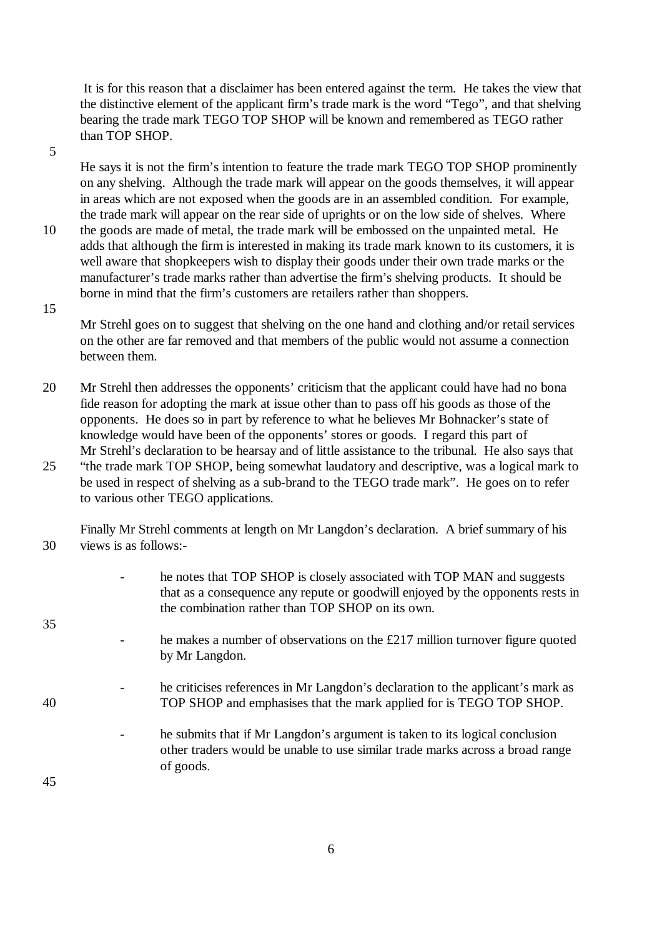It is for this reason that a disclaimer has been entered against the term. He takes the view that the distinctive element of the applicant firm's trade mark is the word "Tego", and that shelving bearing the trade mark TEGO TOP SHOP will be known and remembered as TEGO rather than TOP SHOP.

5

He says it is not the firm's intention to feature the trade mark TEGO TOP SHOP prominently on any shelving. Although the trade mark will appear on the goods themselves, it will appear in areas which are not exposed when the goods are in an assembled condition. For example, the trade mark will appear on the rear side of uprights or on the low side of shelves. Where

10 the goods are made of metal, the trade mark will be embossed on the unpainted metal. He adds that although the firm is interested in making its trade mark known to its customers, it is well aware that shopkeepers wish to display their goods under their own trade marks or the manufacturer's trade marks rather than advertise the firm's shelving products. It should be borne in mind that the firm's customers are retailers rather than shoppers.

15

Mr Strehl goes on to suggest that shelving on the one hand and clothing and/or retail services on the other are far removed and that members of the public would not assume a connection between them.

- 20 Mr Strehl then addresses the opponents' criticism that the applicant could have had no bona fide reason for adopting the mark at issue other than to pass off his goods as those of the opponents. He does so in part by reference to what he believes Mr Bohnacker's state of knowledge would have been of the opponents' stores or goods. I regard this part of Mr Strehl's declaration to be hearsay and of little assistance to the tribunal. He also says that
- 25 "the trade mark TOP SHOP, being somewhat laudatory and descriptive, was a logical mark to be used in respect of shelving as a sub-brand to the TEGO trade mark". He goes on to refer to various other TEGO applications.

Finally Mr Strehl comments at length on Mr Langdon's declaration. A brief summary of his 30 views is as follows:-

- he notes that TOP SHOP is closely associated with TOP MAN and suggests that as a consequence any repute or goodwill enjoyed by the opponents rests in the combination rather than TOP SHOP on its own.
- he makes a number of observations on the  $£217$  million turnover figure quoted by Mr Langdon.
- he criticises references in Mr Langdon's declaration to the applicant's mark as 40 TOP SHOP and emphasises that the mark applied for is TEGO TOP SHOP.

he submits that if Mr Langdon's argument is taken to its logical conclusion other traders would be unable to use similar trade marks across a broad range of goods.

45

35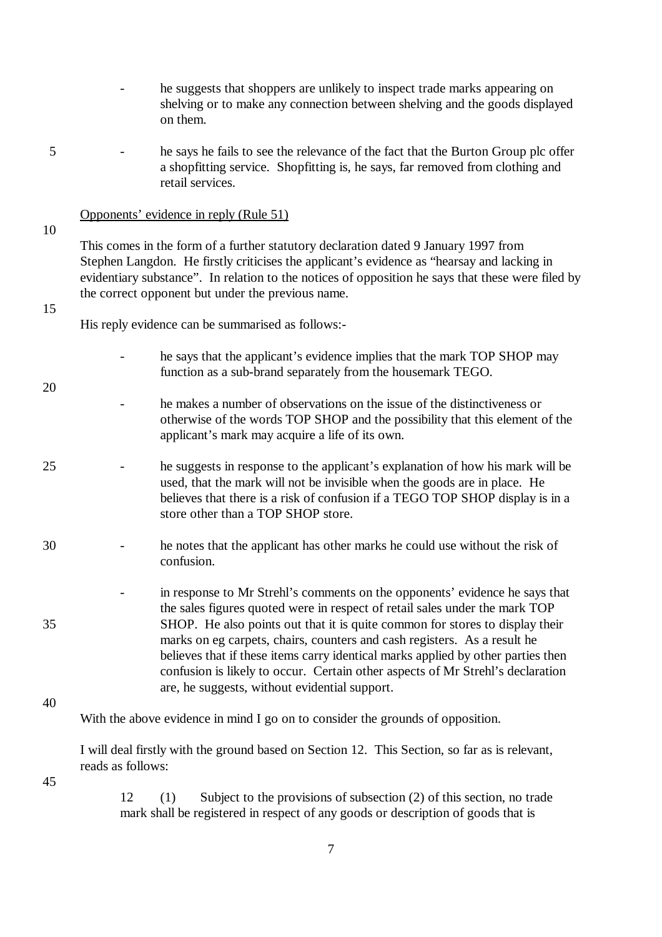- he suggests that shoppers are unlikely to inspect trade marks appearing on shelving or to make any connection between shelving and the goods displayed on them.
- 5 he says he fails to see the relevance of the fact that the Burton Group plc offer a shopfitting service. Shopfitting is, he says, far removed from clothing and retail services.

### Opponents' evidence in reply (Rule 51)

10

This comes in the form of a further statutory declaration dated 9 January 1997 from Stephen Langdon. He firstly criticises the applicant's evidence as "hearsay and lacking in evidentiary substance". In relation to the notices of opposition he says that these were filed by the correct opponent but under the previous name.

#### 15

20

His reply evidence can be summarised as follows:-

- he says that the applicant's evidence implies that the mark TOP SHOP may function as a sub-brand separately from the housemark TEGO.
- he makes a number of observations on the issue of the distinctiveness or otherwise of the words TOP SHOP and the possibility that this element of the applicant's mark may acquire a life of its own.
- 25 he suggests in response to the applicant's explanation of how his mark will be used, that the mark will not be invisible when the goods are in place. He believes that there is a risk of confusion if a TEGO TOP SHOP display is in a store other than a TOP SHOP store.
- 30 he notes that the applicant has other marks he could use without the risk of confusion.
- in response to Mr Strehl's comments on the opponents' evidence he says that the sales figures quoted were in respect of retail sales under the mark TOP 35 SHOP. He also points out that it is quite common for stores to display their marks on eg carpets, chairs, counters and cash registers. As a result he believes that if these items carry identical marks applied by other parties then confusion is likely to occur. Certain other aspects of Mr Strehl's declaration are, he suggests, without evidential support.
- 40

With the above evidence in mind I go on to consider the grounds of opposition.

I will deal firstly with the ground based on Section 12. This Section, so far as is relevant, reads as follows:

45

12 (1) Subject to the provisions of subsection (2) of this section, no trade mark shall be registered in respect of any goods or description of goods that is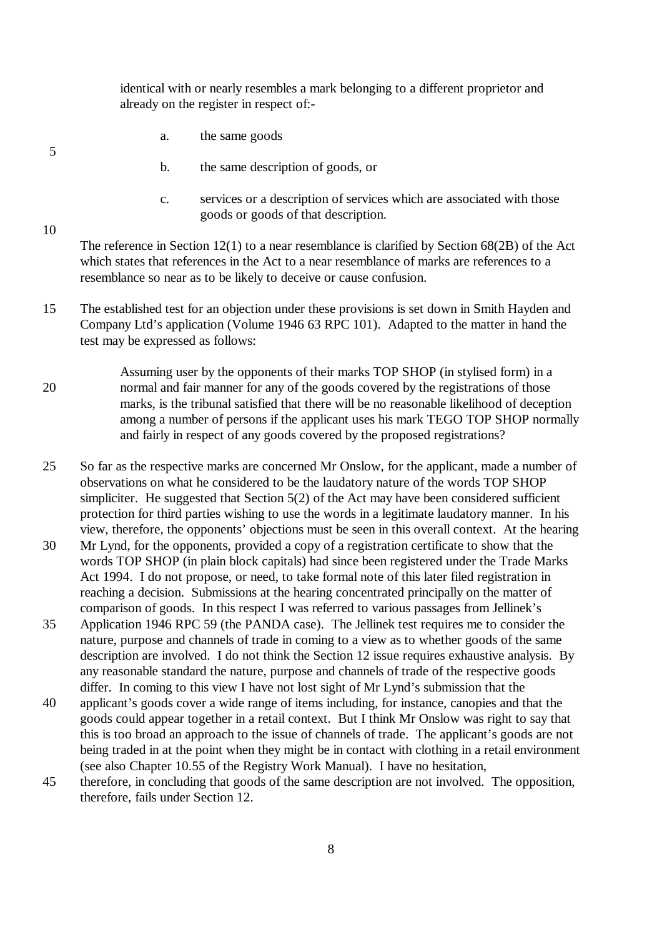identical with or nearly resembles a mark belonging to a different proprietor and already on the register in respect of:-

a. the same goods

5

10

- b. the same description of goods, or
- c. services or a description of services which are associated with those goods or goods of that description.

The reference in Section 12(1) to a near resemblance is clarified by Section 68(2B) of the Act which states that references in the Act to a near resemblance of marks are references to a resemblance so near as to be likely to deceive or cause confusion.

- 15 The established test for an objection under these provisions is set down in Smith Hayden and Company Ltd's application (Volume 1946 63 RPC 101). Adapted to the matter in hand the test may be expressed as follows:
- Assuming user by the opponents of their marks TOP SHOP (in stylised form) in a 20 normal and fair manner for any of the goods covered by the registrations of those marks, is the tribunal satisfied that there will be no reasonable likelihood of deception among a number of persons if the applicant uses his mark TEGO TOP SHOP normally and fairly in respect of any goods covered by the proposed registrations?
- 25 So far as the respective marks are concerned Mr Onslow, for the applicant, made a number of observations on what he considered to be the laudatory nature of the words TOP SHOP simpliciter. He suggested that Section 5(2) of the Act may have been considered sufficient protection for third parties wishing to use the words in a legitimate laudatory manner. In his view, therefore, the opponents' objections must be seen in this overall context. At the hearing
- 30 Mr Lynd, for the opponents, provided a copy of a registration certificate to show that the words TOP SHOP (in plain block capitals) had since been registered under the Trade Marks Act 1994. I do not propose, or need, to take formal note of this later filed registration in reaching a decision. Submissions at the hearing concentrated principally on the matter of comparison of goods. In this respect I was referred to various passages from Jellinek's
- 35 Application 1946 RPC 59 (the PANDA case). The Jellinek test requires me to consider the nature, purpose and channels of trade in coming to a view as to whether goods of the same description are involved. I do not think the Section 12 issue requires exhaustive analysis. By any reasonable standard the nature, purpose and channels of trade of the respective goods differ. In coming to this view I have not lost sight of Mr Lynd's submission that the
- 40 applicant's goods cover a wide range of items including, for instance, canopies and that the goods could appear together in a retail context. But I think Mr Onslow was right to say that this is too broad an approach to the issue of channels of trade. The applicant's goods are not being traded in at the point when they might be in contact with clothing in a retail environment (see also Chapter 10.55 of the Registry Work Manual). I have no hesitation,
- 45 therefore, in concluding that goods of the same description are not involved. The opposition, therefore, fails under Section 12.

8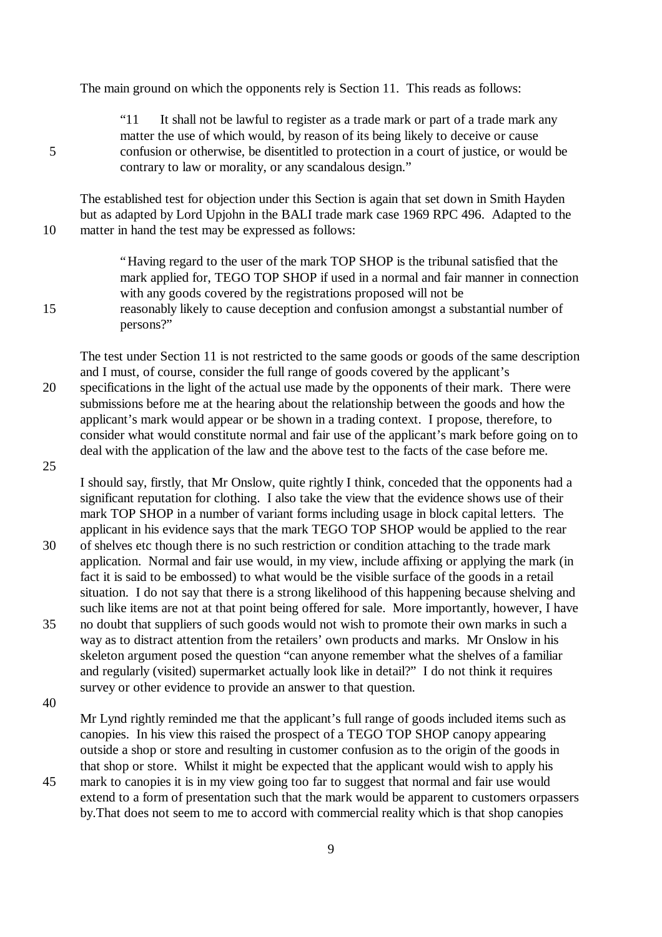The main ground on which the opponents rely is Section 11. This reads as follows:

"11 It shall not be lawful to register as a trade mark or part of a trade mark any matter the use of which would, by reason of its being likely to deceive or cause 5 confusion or otherwise, be disentitled to protection in a court of justice, or would be contrary to law or morality, or any scandalous design."

The established test for objection under this Section is again that set down in Smith Hayden but as adapted by Lord Upjohn in the BALI trade mark case 1969 RPC 496. Adapted to the 10 matter in hand the test may be expressed as follows:

"Having regard to the user of the mark TOP SHOP is the tribunal satisfied that the mark applied for, TEGO TOP SHOP if used in a normal and fair manner in connection with any goods covered by the registrations proposed will not be 15 reasonably likely to cause deception and confusion amongst a substantial number of persons?"

The test under Section 11 is not restricted to the same goods or goods of the same description and I must, of course, consider the full range of goods covered by the applicant's 20 specifications in the light of the actual use made by the opponents of their mark. There were submissions before me at the hearing about the relationship between the goods and how the applicant's mark would appear or be shown in a trading context. I propose, therefore, to consider what would constitute normal and fair use of the applicant's mark before going on to deal with the application of the law and the above test to the facts of the case before me.

25

I should say, firstly, that Mr Onslow, quite rightly I think, conceded that the opponents had a significant reputation for clothing. I also take the view that the evidence shows use of their mark TOP SHOP in a number of variant forms including usage in block capital letters. The applicant in his evidence says that the mark TEGO TOP SHOP would be applied to the rear

- 30 of shelves etc though there is no such restriction or condition attaching to the trade mark application. Normal and fair use would, in my view, include affixing or applying the mark (in fact it is said to be embossed) to what would be the visible surface of the goods in a retail situation. I do not say that there is a strong likelihood of this happening because shelving and such like items are not at that point being offered for sale. More importantly, however, I have
- 35 no doubt that suppliers of such goods would not wish to promote their own marks in such a way as to distract attention from the retailers' own products and marks. Mr Onslow in his skeleton argument posed the question "can anyone remember what the shelves of a familiar and regularly (visited) supermarket actually look like in detail?" I do not think it requires survey or other evidence to provide an answer to that question.

40

Mr Lynd rightly reminded me that the applicant's full range of goods included items such as canopies. In his view this raised the prospect of a TEGO TOP SHOP canopy appearing outside a shop or store and resulting in customer confusion as to the origin of the goods in that shop or store. Whilst it might be expected that the applicant would wish to apply his

45 mark to canopies it is in my view going too far to suggest that normal and fair use would extend to a form of presentation such that the mark would be apparent to customers orpassers by.That does not seem to me to accord with commercial reality which is that shop canopies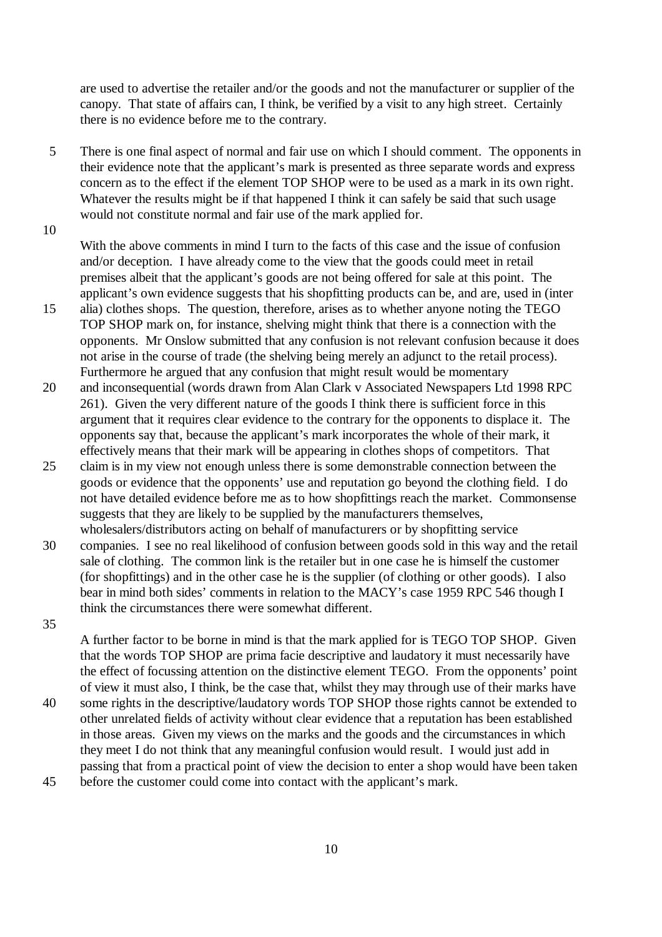are used to advertise the retailer and/or the goods and not the manufacturer or supplier of the canopy. That state of affairs can, I think, be verified by a visit to any high street. Certainly there is no evidence before me to the contrary.

5 There is one final aspect of normal and fair use on which I should comment. The opponents in their evidence note that the applicant's mark is presented as three separate words and express concern as to the effect if the element TOP SHOP were to be used as a mark in its own right. Whatever the results might be if that happened I think it can safely be said that such usage would not constitute normal and fair use of the mark applied for.

10

With the above comments in mind I turn to the facts of this case and the issue of confusion and/or deception. I have already come to the view that the goods could meet in retail premises albeit that the applicant's goods are not being offered for sale at this point. The applicant's own evidence suggests that his shopfitting products can be, and are, used in (inter

- 15 alia) clothes shops. The question, therefore, arises as to whether anyone noting the TEGO TOP SHOP mark on, for instance, shelving might think that there is a connection with the opponents. Mr Onslow submitted that any confusion is not relevant confusion because it does not arise in the course of trade (the shelving being merely an adjunct to the retail process). Furthermore he argued that any confusion that might result would be momentary
- 20 and inconsequential (words drawn from Alan Clark v Associated Newspapers Ltd 1998 RPC 261). Given the very different nature of the goods I think there is sufficient force in this argument that it requires clear evidence to the contrary for the opponents to displace it. The opponents say that, because the applicant's mark incorporates the whole of their mark, it effectively means that their mark will be appearing in clothes shops of competitors. That
- 25 claim is in my view not enough unless there is some demonstrable connection between the goods or evidence that the opponents' use and reputation go beyond the clothing field. I do not have detailed evidence before me as to how shopfittings reach the market. Commonsense suggests that they are likely to be supplied by the manufacturers themselves, wholesalers/distributors acting on behalf of manufacturers or by shopfitting service
- 30 companies. I see no real likelihood of confusion between goods sold in this way and the retail sale of clothing. The common link is the retailer but in one case he is himself the customer (for shopfittings) and in the other case he is the supplier (of clothing or other goods). I also bear in mind both sides' comments in relation to the MACY's case 1959 RPC 546 though I think the circumstances there were somewhat different.
- 35

A further factor to be borne in mind is that the mark applied for is TEGO TOP SHOP. Given that the words TOP SHOP are prima facie descriptive and laudatory it must necessarily have the effect of focussing attention on the distinctive element TEGO. From the opponents' point of view it must also, I think, be the case that, whilst they may through use of their marks have

- 40 some rights in the descriptive/laudatory words TOP SHOP those rights cannot be extended to other unrelated fields of activity without clear evidence that a reputation has been established in those areas. Given my views on the marks and the goods and the circumstances in which they meet I do not think that any meaningful confusion would result. I would just add in passing that from a practical point of view the decision to enter a shop would have been taken 45 before the customer could come into contact with the applicant's mark.
	- 10